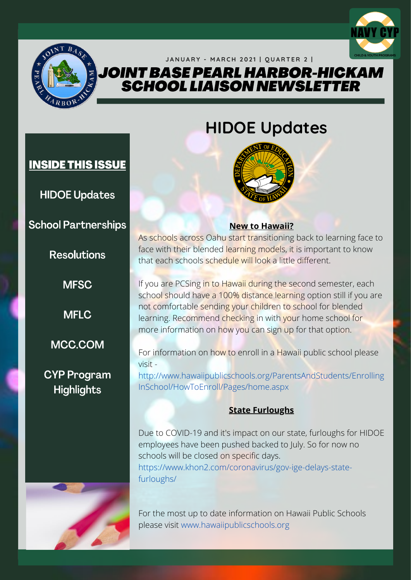

### JANUARY - MARCH 2021 | QUARTER 2 | JOINT BASE PEARL HARBOR-HICKAM

**SCHOOL LIAISON NEWSLETTER** 



## **HIDOE Updates**



**HIDOE Updates** 

**INSIDE THIS ISSUE** 

**School Partnerships** 

**Resolutions** 

**MFSC** 

**MFLC** 

MCC.COM

## **CYP Program** Highlights



### **New to Hawaii?**

As schools across Oahu start transitioning back to learning face to face with their blended learning models, it is important to know that each schools schedule will look a little different.

If you are PCSing in to Hawaii during the second semester, each school should have a 100% distance learning option still if you are not comfortable sending your children to school for blended learning. Recommend checking in with your home school for more information on how you can sign up for that option.

For information on how to enroll in a Hawaii public school please visit -

http://www.hawaiipublicschools.org/ParentsAndStudents/Enrolling InSchool/HowToEnroll/Pages/home.aspx

### **State Furloughs**

Due to COVID-19 and it's impact on our state, furloughs for HIDOE employees have been pushed backed to July. So for now no schools will be closed on specific days. https://www.khon2.com/coronavirus/gov-ige-delays-statefurloughs/

For the most up to date information on Hawaii Public Schools please visit www.hawaiipublicschools.org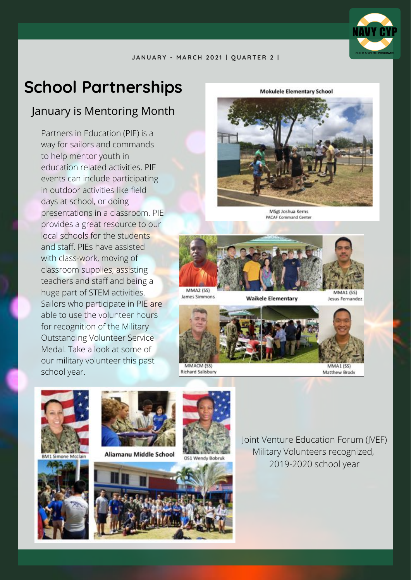## **School Partnerships**

## January is Mentoring Month

Partners in Education (PIE) is a way for sailors and commands to help mentor youth in education related activities. PIE events can include participating in outdoor activities like field days at school, or doing presentations in a classroom. PIE provides a great resource to our local schools for the students and staff. PIEs have assisted with class-work, moving of classroom supplies, assisting teachers and staff and being a huge part of STEM activities. Sailors who participate in PIE are able to use the volunteer hours for recognition of the Military Outstanding Volunteer Service Medal. Take a look at some of our military volunteer this past school year.

**Mokulele Elementary School** 



MSgt Joshua Kerns **PACAF Command Center** 



**Waikele Elementary** 

**MMA1 (SS)** Jesus Fernandez



**Richard Salisbury** 

James Simmons

Matthew Brody







Aliamanu Middle School



OS1 Wendy Bobrul



Joint Venture Education Forum (JVEF) Military Volunteers recognized, 2019-2020 school year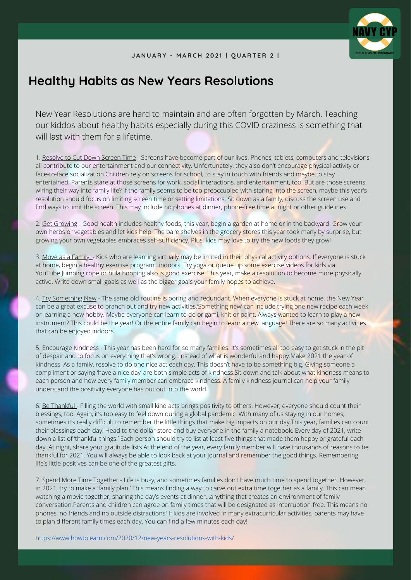

## **Healthy Habits as New Years Resolutions**

New Year Resolutions are hard to maintain and are often forgotten by March. Teaching our kiddos about healthy habits especially during this COVID craziness is something that will last with them for a lifetime.

1. Resolve to Cut Down Screen Time - Screens have become part of our lives. Phones, tablets, computers and televisions all contribute to our entertainment and our connectivity. Unfortunately, they also don't encourage physical activity or face-to-face socialization.Children rely on screens for school, to stay in touch with friends and maybe to stay entertained. Parents stare at those screens for work, social interactions, and entertainment, too. But are those screens wiring their way into family life? If the family seems to be too preoccupied with staring into the screen, maybe this year's resolution should focus on limiting screen time or setting limitations. Sit down as a family, discuss the screen use and find ways to limit the screen. This may include no phones at dinner, phone-free time at night or other guidelines.

2. Get Growing - Good health includes healthy foods; this year, begin a garden at home or in the backyard. Grow your own herbs or vegetables and let kids help. The bare shelves in the grocery stores this year took many by surprise, but growing your own vegetables embraces self-sufficiency. Plus, kids may love to try the new foods they grow!

3. Move as a Family! - Kids who are learning virtually may be limited in their physical activity options. If everyone is stuck at home, begin a healthy exercise program...indoors. Try yoga or queue up some exercise videos for kids via YouTube.Jumping rope or hula hooping also is good exercise. This year, make a resolution to become more physically active. Write down small goals as well as the bigger goals your family hopes to achieve.

4. Try Something New - The same old routine is boring and redundant. When everyone is stuck at home, the New Year can be a great excuse to branch out and try new activities.'Something new' can include trying one new recipe each week or learning a new hobby. Maybe everyone can learn to do origami, knit or paint. Always wanted to learn to play a new instrument? This could be the year! Or the entire family can begin to learn a new language! There are so many activities that can be enjoyed indoors.

5. Encourage Kindness - This year has been hard for so many families. It's sometimes all too easy to get stuck in the pit of despair and to focus on everything that's wrong…instead of what is wonderful and happy.Make 2021 the year of kindness. As a family, resolve to do one nice act each day. This doesn't have to be something big. Giving someone a compliment or saying 'have a nice day' are both simple acts of kindness. Sit down and talk about what kindness means to each person and how every family member can embrace kindness. A family kindness journal can help your family understand the positivity everyone has put out into the world.

6. Be Thankful - Filling the world with small kind acts brings positivity to others. However, everyone should count their blessings, too. Again, it's too easy to feel down during a global pandemic. With many of us staying in our homes, sometimes it's really difficult to remember the little things that make big impacts on our day.This year, families can count their blessings each day! Head to the dollar store and buy everyone in the family a notebook. Every day of 2021, write down a list of 'thankful things.' Each person should try to list at least five things that made them happy or grateful each day. At night, share your gratitude lists.At the end of the year, every family member will have thousands of reasons to be thankful for 2021. You will always be able to look back at your journal and remember the good things. Remembering life's little positives can be one of the greatest gifts.

7. Spend More Time Together - Life is busy, and sometimes families don't have much time to spend together. However, in 2021, try to make a 'family plan.' This means finding a way to carve out extra time together as a family. This can mean watching a movie together, sharing the day's events at dinner…anything that creates an environment of family conversation.Parents and children can agree on family times that will be designated as interruption-free. This means no phones, no friends and no outside distractions! If kids are involved in many extracurricular activities, parents may have to plan different family times each day. You can find a few minutes each day!

https://www.howtolearn.com/2020/12/new-years-resolutions-with-kids/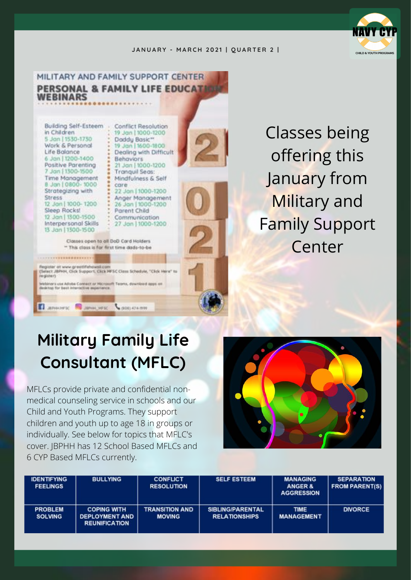

### MILITARY AND FAMILY SUPPORT CENTER **PERSONAL & FAMILY LIFE EDUCATE WEBINARS**

Building Self-Esteem . in Children 5 Jan | 1530-1730 Work & Personal Life Balance 6 Jan | 1200-1400 Positive Parenting 7 Jan | 1300-1500 Time Management 8 Jan | 0800-1000 Strategizing with **Stress** 12 Jon | 1000-1200 Sleep Rocks! 12 Jan | 1300-1500 Interpersonal Skills 13 Jan | 1300-1500

egicter at www.greatifehovak.c

legister)

skings for best in

**Conflict Resolution** 19 Jan | 1000-1200 Doddy Basic" 19 Jan | 1600-1800 Dealing with Difficult Behaviors 21 Jan | 1000-1200 Tranquil Seas: Mindfulness & Self care 22 Jan | 1000-1200 Anger Management 26 Jan | 1000-1200 Parent Child Communication 27 Jan | 1000-1200

Classes open to all DoD Card Holders \*\* This closs is for first time dods-to-be

(Select JBPHH, Click Support, Click MFSC Class Schedule, "Click Here" to

nors use Adobe Connect or Microsoft Teams, download appt on

Runners: Summers: Comment

Classes being offering this January from Military and Family Support Center

# **Military Family Life Consultant (MFLC)**

MFLCs provide private and confidential nonmedical counseling service in schools and our Child and Youth Programs. They support children and youth up to age 18 in groups or individually. See below for topics that MFLC's cover. JBPHH has 12 School Based MFLCs and 6 CYP Based MFLCs currently.



| <b>IDENTIFYING</b><br><b>FEELINGS</b> | <b>BULLYING</b>                                                     | <b>CONFLICT</b><br><b>RESOLUTION</b>   | <b>SELF ESTEEM</b>                              | <b>MANAGING</b><br><b>ANGER &amp;</b><br><b>AGGRESSION</b> | <b>SEPARATION</b><br><b>FROM PARENT(S)</b> |
|---------------------------------------|---------------------------------------------------------------------|----------------------------------------|-------------------------------------------------|------------------------------------------------------------|--------------------------------------------|
| <b>PROBLEM</b><br><b>SOLVING</b>      | <b>COPING WITH</b><br><b>DEPLOYMENT AND</b><br><b>REUNIFICATION</b> | <b>TRANSITION AND</b><br><b>MOVING</b> | <b>SIBLING/PARENTAL</b><br><b>RELATIONSHIPS</b> | <b>TIME</b><br><b>MANAGEMENT</b>                           | <b>DIVORCE</b>                             |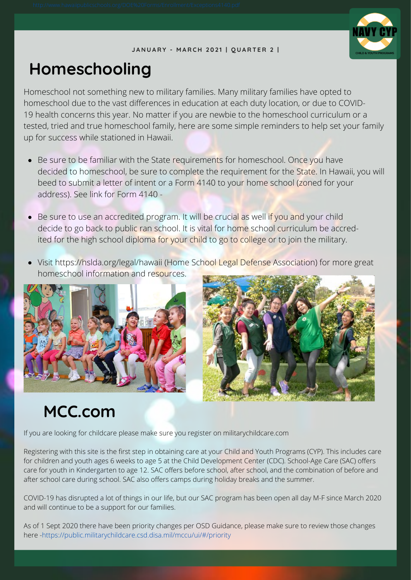

## **Homeschooling**

Homeschool not something new to military families. Many military families have opted to homeschool due to the vast differences in education at each duty location, or due to COVID-19 health concerns this year. No matter if you are newbie to the homeschool curriculum or a tested, tried and true homeschool family, here are some simple reminders to help set your family up for success while stationed in Hawaii.

- Be sure to be familiar with the State requirements for homeschool. Once you have decided to homeschool, be sure to complete the requirement for the State. In Hawaii, you will beed to submit a letter of intent or a Form 4140 to your home school (zoned for your address). See link for Form 4140 -
- Be sure to use an accredited program. It will be crucial as well if you and your child decide to go back to public ran school. It is vital for home school curriculum be accredited for the high school diploma for your child to go to college or to join the military.
- Visit https://hslda.org/legal/hawaii (Home School Legal Defense Association) for more great homeschool information and resources.





## **MCC.com**

If you are looking for childcare please make sure you register on militarychildcare.com

Registering with this site is the first step in obtaining care at your Child and Youth Programs (CYP). This includes care for children and youth ages 6 weeks to age 5 at the Child Development Center (CDC). School-Age Care (SAC) offers care for youth in Kindergarten to age 12. SAC offers before school, after school, and the combination of before and after school care during school. SAC also offers camps during holiday breaks and the summer.

COVID-19 has disrupted a lot of things in our life, but our SAC program has been open all day M-F since March 2020 and will continue to be a support for our families.

As of 1 Sept 2020 there have been priority changes per OSD Guidance, please make sure to review those changes here -https://public.militarychildcare.csd.disa.mil/mccu/ui/#/priority